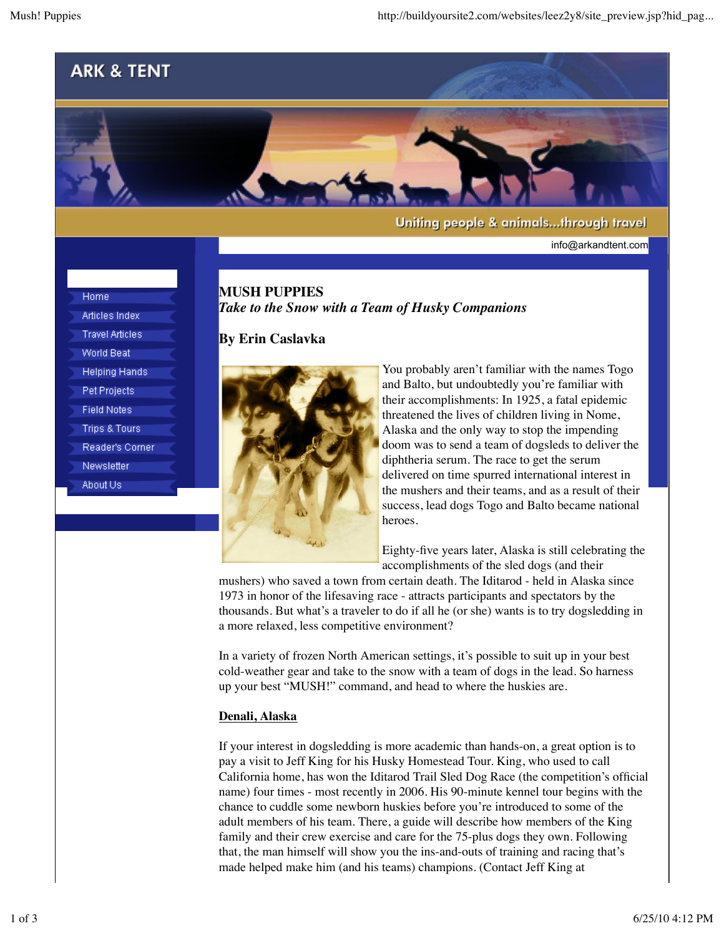info@arkandtent.com



Home Articles Index **Travel Articles World Beat Helping Hands** Pet Projects **Field Notes Trips & Tours** Reader's Corner

Newsletter About Us

**MUSH PUPPIES** *Take to the Snow with a Team of Husky Companions*

# **By Erin Caslavka**



You probably aren't familiar with the names Togo and Balto, but undoubtedly you're familiar with their accomplishments: In 1925, a fatal epidemic threatened the lives of children living in Nome, Alaska and the only way to stop the impending doom was to send a team of dogsleds to deliver the diphtheria serum. The race to get the serum delivered on time spurred international interest in the mushers and their teams, and as a result of their success, lead dogs Togo and Balto became national heroes.

Eighty-five years later, Alaska is still celebrating the accomplishments of the sled dogs (and their

mushers) who saved a town from certain death. The Iditarod - held in Alaska since 1973 in honor of the lifesaving race - attracts participants and spectators by the thousands. But what's a traveler to do if all he (or she) wants is to try dogsledding in a more relaxed, less competitive environment?

In a variety of frozen North American settings, it's possible to suit up in your best cold-weather gear and take to the snow with a team of dogs in the lead. So harness up your best "MUSH!" command, and head to where the huskies are.

# **Denali, Alaska**

If your interest in dogsledding is more academic than hands-on, a great option is to pay a visit to Jeff King for his Husky Homestead Tour. King, who used to call California home, has won the Iditarod Trail Sled Dog Race (the competition's official name) four times - most recently in 2006. His 90-minute kennel tour begins with the chance to cuddle some newborn huskies before you're introduced to some of the adult members of his team. There, a guide will describe how members of the King family and their crew exercise and care for the 75-plus dogs they own. Following that, the man himself will show you the ins-and-outs of training and racing that's made helped make him (and his teams) champions. (Contact Jeff King at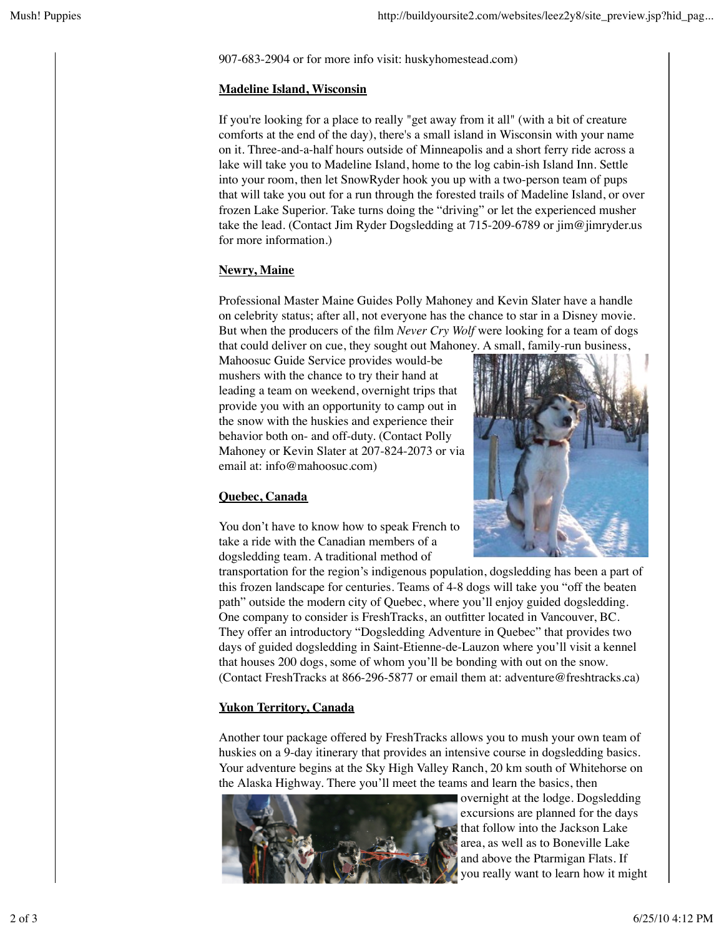907-683-2904 or for more info visit: huskyhomestead.com)

#### **Madeline Island, Wisconsin**

If you're looking for a place to really "get away from it all" (with a bit of creature comforts at the end of the day), there's a small island in Wisconsin with your name on it. Three-and-a-half hours outside of Minneapolis and a short ferry ride across a lake will take you to Madeline Island, home to the log cabin-ish Island Inn. Settle into your room, then let SnowRyder hook you up with a two-person team of pups that will take you out for a run through the forested trails of Madeline Island, or over frozen Lake Superior. Take turns doing the "driving" or let the experienced musher take the lead. (Contact Jim Ryder Dogsledding at 715-209-6789 or jim@jimryder.us for more information.)

# **Newry, Maine**

Professional Master Maine Guides Polly Mahoney and Kevin Slater have a handle on celebrity status; after all, not everyone has the chance to star in a Disney movie. But when the producers of the film *Never Cry Wolf* were looking for a team of dogs that could deliver on cue, they sought out Mahoney. A small, family-run business,

Mahoosuc Guide Service provides would-be mushers with the chance to try their hand at leading a team on weekend, overnight trips that provide you with an opportunity to camp out in the snow with the huskies and experience their behavior both on- and off-duty. (Contact Polly Mahoney or Kevin Slater at 207-824-2073 or via email at: info@mahoosuc.com)



# **Quebec, Canada**

You don't have to know how to speak French to take a ride with the Canadian members of a dogsledding team. A traditional method of

transportation for the region's indigenous population, dogsledding has been a part of this frozen landscape for centuries. Teams of 4-8 dogs will take you "off the beaten path" outside the modern city of Quebec, where you'll enjoy guided dogsledding. One company to consider is FreshTracks, an outfitter located in Vancouver, BC. They offer an introductory "Dogsledding Adventure in Quebec" that provides two days of guided dogsledding in Saint-Etienne-de-Lauzon where you'll visit a kennel that houses 200 dogs, some of whom you'll be bonding with out on the snow. (Contact FreshTracks at 866-296-5877 or email them at: adventure@freshtracks.ca)

# **Yukon Territory, Canada**

Another tour package offered by FreshTracks allows you to mush your own team of huskies on a 9-day itinerary that provides an intensive course in dogsledding basics. Your adventure begins at the Sky High Valley Ranch, 20 km south of Whitehorse on the Alaska Highway. There you'll meet the teams and learn the basics, then



overnight at the lodge. Dogsledding excursions are planned for the days that follow into the Jackson Lake area, as well as to Boneville Lake and above the Ptarmigan Flats. If you really want to learn how it might